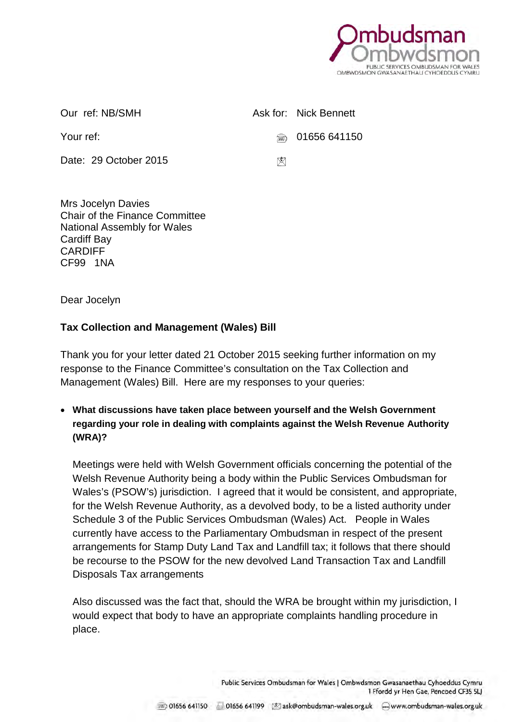

Date: 29 October 2015

Our ref: NB/SMH Ask for: Nick Bennett

Your ref: 201656 641150

⊠

Mrs Jocelyn Davies Chair of the Finance Committee National Assembly for Wales Cardiff Bay CARDIFF CF99 1NA

Dear Jocelyn

## **Tax Collection and Management (Wales) Bill**

Thank you for your letter dated 21 October 2015 seeking further information on my response to the Finance Committee's consultation on the Tax Collection and Management (Wales) Bill. Here are my responses to your queries:

• **What discussions have taken place between yourself and the Welsh Government regarding your role in dealing with complaints against the Welsh Revenue Authority (WRA)?**

Meetings were held with Welsh Government officials concerning the potential of the Welsh Revenue Authority being a body within the Public Services Ombudsman for Wales's (PSOW's) jurisdiction. I agreed that it would be consistent, and appropriate, for the Welsh Revenue Authority, as a devolved body, to be a listed authority under Schedule 3 of the Public Services Ombudsman (Wales) Act. People in Wales currently have access to the Parliamentary Ombudsman in respect of the present arrangements for Stamp Duty Land Tax and Landfill tax; it follows that there should be recourse to the PSOW for the new devolved Land Transaction Tax and Landfill Disposals Tax arrangements

Also discussed was the fact that, should the WRA be brought within my jurisdiction, I would expect that body to have an appropriate complaints handling procedure in place.

> Public Services Ombudsman for Wales | Ombwdsmon Gwasanaethau Cyhoeddus Cymru 1 Ffordd yr Hen Gae, Pencoed CF35 5LJ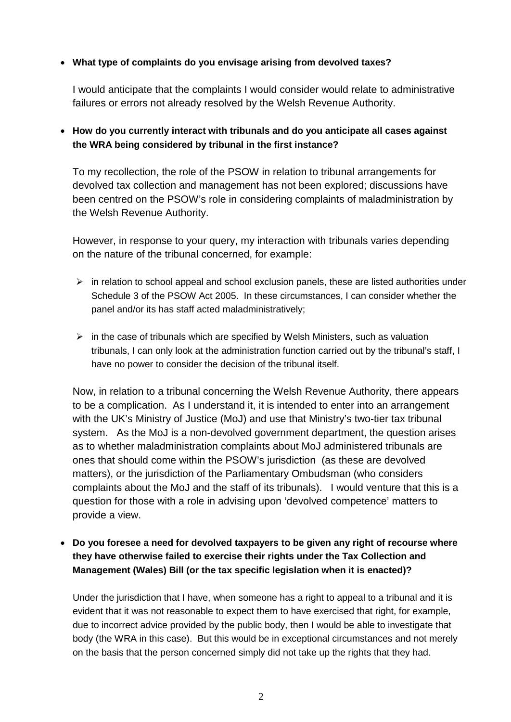## • **What type of complaints do you envisage arising from devolved taxes?**

I would anticipate that the complaints I would consider would relate to administrative failures or errors not already resolved by the Welsh Revenue Authority.

## • **How do you currently interact with tribunals and do you anticipate all cases against the WRA being considered by tribunal in the first instance?**

To my recollection, the role of the PSOW in relation to tribunal arrangements for devolved tax collection and management has not been explored; discussions have been centred on the PSOW's role in considering complaints of maladministration by the Welsh Revenue Authority.

However, in response to your query, my interaction with tribunals varies depending on the nature of the tribunal concerned, for example:

- $\triangleright$  in relation to school appeal and school exclusion panels, these are listed authorities under Schedule 3 of the PSOW Act 2005. In these circumstances, I can consider whether the panel and/or its has staff acted maladministratively;
- $\triangleright$  in the case of tribunals which are specified by Welsh Ministers, such as valuation tribunals, I can only look at the administration function carried out by the tribunal's staff, I have no power to consider the decision of the tribunal itself.

Now, in relation to a tribunal concerning the Welsh Revenue Authority, there appears to be a complication. As I understand it, it is intended to enter into an arrangement with the UK's Ministry of Justice (MoJ) and use that Ministry's two-tier tax tribunal system. As the MoJ is a non-devolved government department, the question arises as to whether maladministration complaints about MoJ administered tribunals are ones that should come within the PSOW's jurisdiction (as these are devolved matters), or the jurisdiction of the Parliamentary Ombudsman (who considers complaints about the MoJ and the staff of its tribunals). I would venture that this is a question for those with a role in advising upon 'devolved competence' matters to provide a view.

## • **Do you foresee a need for devolved taxpayers to be given any right of recourse where they have otherwise failed to exercise their rights under the Tax Collection and Management (Wales) Bill (or the tax specific legislation when it is enacted)?**

Under the jurisdiction that I have, when someone has a right to appeal to a tribunal and it is evident that it was not reasonable to expect them to have exercised that right, for example, due to incorrect advice provided by the public body, then I would be able to investigate that body (the WRA in this case). But this would be in exceptional circumstances and not merely on the basis that the person concerned simply did not take up the rights that they had.